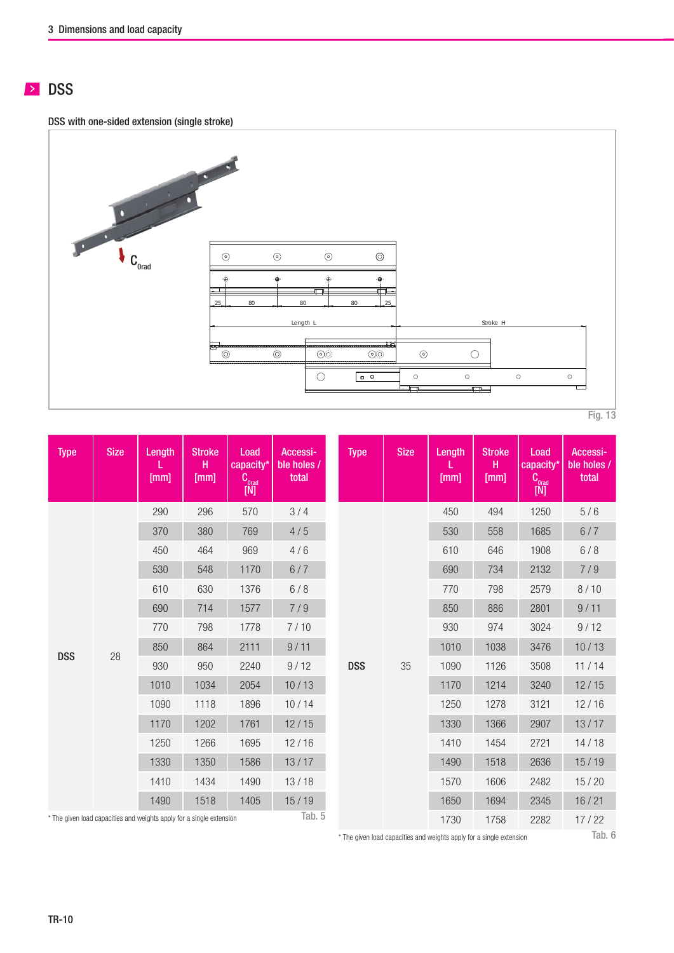# **DSS**

DSS with one-sided extension (single stroke)



| Type       | <b>Size</b> | Length<br>[mm]                                                    | <b>Stroke</b><br>н<br>[mm] | Load<br>capacity*<br>$\mathbf{C}_{\text{orad}}$<br>$[M]$ | Accessi-<br>ble holes /<br>total | <b>Type</b> | <b>Size</b> | Length<br>[mm] | <b>Stroke</b><br>H.<br>[mm] | Load<br>capacity*<br>$\mathbf{C}_{\text{orad}}$<br>[N] |  |
|------------|-------------|-------------------------------------------------------------------|----------------------------|----------------------------------------------------------|----------------------------------|-------------|-------------|----------------|-----------------------------|--------------------------------------------------------|--|
|            |             | 290                                                               | 296                        | 570                                                      | 3/4                              |             |             | 450            | 494                         | 1250                                                   |  |
|            |             | 370                                                               | 380                        | 769                                                      | 4/5                              |             |             | 530            | 558                         | 1685                                                   |  |
|            |             | 450                                                               | 464                        | 969                                                      | 4/6                              |             |             | 610            | 646                         | 1908                                                   |  |
|            |             | 530                                                               | 548                        | 1170                                                     | 6/7                              |             |             | 690            | 734                         | 2132                                                   |  |
|            |             | 610                                                               | 630                        | 1376                                                     | 6/8                              |             |             | 770            | 798                         | 2579                                                   |  |
|            |             | 690                                                               | 714                        | 1577                                                     | 7/9                              |             |             | 850            | 886                         | 2801                                                   |  |
|            |             | 770                                                               | 798                        | 1778                                                     | 7/10                             |             |             | 930            | 974                         | 3024                                                   |  |
| <b>DSS</b> |             | 850                                                               | 864                        | 2111                                                     | 9/11                             | <b>DSS</b>  | 35          | 1010           | 1038                        | 3476                                                   |  |
|            | 28          | 930                                                               | 950                        | 2240                                                     | 9/12                             |             |             | 1090           | 1126                        | 3508                                                   |  |
|            |             | 1010                                                              | 1034                       | 2054                                                     | 10/13                            |             |             | 1170           | 1214                        | 3240                                                   |  |
|            |             | 1090                                                              | 1118                       | 1896                                                     | 10/14                            |             |             | 1250           | 1278                        | 3121                                                   |  |
|            |             | 1170                                                              | 1202                       | 1761                                                     | 12/15                            |             |             | 1330           | 1366                        | 2907                                                   |  |
|            |             | 1250                                                              | 1266                       | 1695                                                     | 12/16                            |             |             | 1410           | 1454                        | 2721                                                   |  |
|            |             | 1330                                                              | 1350                       | 1586                                                     | 13/17                            |             |             | 1490           | 1518                        | 2636                                                   |  |
|            |             | 1410                                                              | 1434                       | 1490                                                     | 13/18                            |             |             | 1570           | 1606                        | 2482                                                   |  |
|            |             | 1490                                                              | 1518                       | 1405                                                     | 15/19                            |             |             | 1650           | 1694                        | 2345                                                   |  |
|            |             | e given load canacities and weights annly for a single extension. |                            |                                                          | Tab. 5                           |             |             | 1720           | 1750                        | 2200                                                   |  |

\* The given load capacities and weights apply for a single extension

\* The given load capacities and weights apply for a single extension

Tab. 6

1730 1758 2282 17 / 22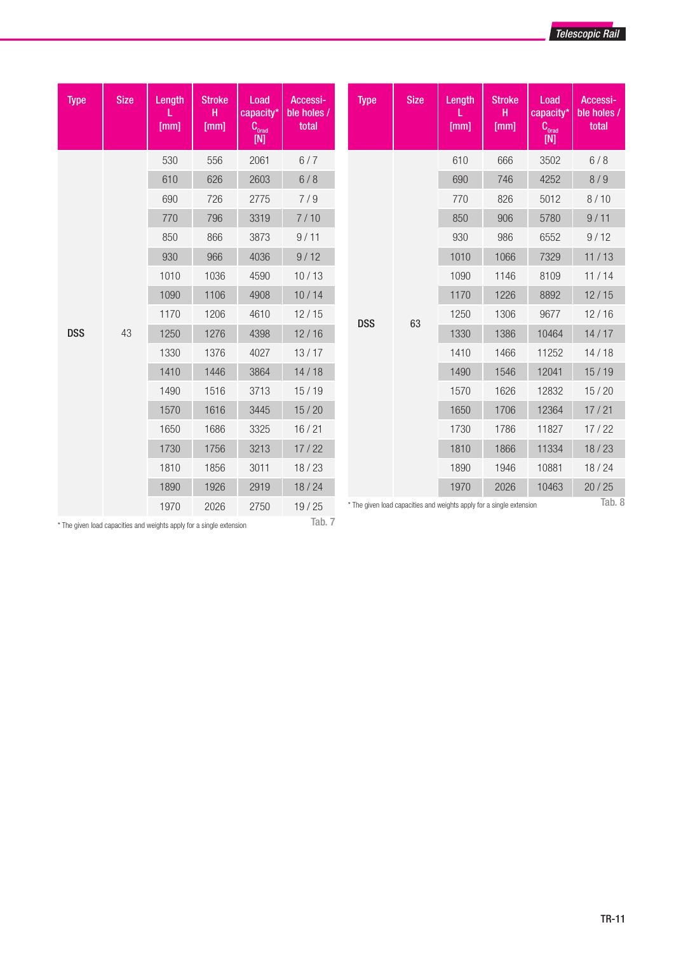| <b>Type</b> | <b>Size</b> | Length<br>[mm] | <b>Stroke</b><br>н<br>[mm] | Load<br>capacity*<br>$\mathtt{C}_{_{\mathrm{Orad}}}$<br>[N] | Accessi-<br>ble holes /<br>total | <b>Type</b> | <b>Size</b>                                                          | <b>Length</b><br>[mm] | <b>Stroke</b><br>н<br>[mm] | Load<br>capacity*<br>$\textbf{C}_\text{orad}$<br>[N] | Accessi-<br>ble holes /<br>total |
|-------------|-------------|----------------|----------------------------|-------------------------------------------------------------|----------------------------------|-------------|----------------------------------------------------------------------|-----------------------|----------------------------|------------------------------------------------------|----------------------------------|
|             |             | 530            | 556                        | 2061                                                        | 6/7                              |             |                                                                      | 610                   | 666                        | 3502                                                 | 6/8                              |
|             |             | 610            | 626                        | 2603                                                        | 6/8                              |             |                                                                      | 690                   | 746                        | 4252                                                 | 8/9                              |
|             |             | 690            | 726                        | 2775                                                        | 7/9                              |             |                                                                      | 770                   | 826                        | 5012                                                 | 8/10                             |
|             |             | 770            | 796                        | 3319                                                        | 7/10                             |             |                                                                      | 850                   | 906                        | 5780                                                 | 9/11                             |
|             |             | 850            | 866                        | 3873                                                        | 9/11                             |             |                                                                      | 930                   | 986                        | 6552                                                 | 9/12                             |
|             |             | 930            | 966                        | 4036                                                        | 9/12                             |             |                                                                      | 1010                  | 1066                       | 7329                                                 | 11/13                            |
|             |             | 1010           | 1036                       | 4590                                                        | 10/13                            |             |                                                                      | 1090                  | 1146                       | 8109                                                 | 11/14                            |
|             |             | 1090           | 1106                       | 4908                                                        | 10/14                            |             |                                                                      | 1170                  | 1226                       | 8892                                                 | 12/15                            |
|             |             | 1170           | 1206                       | 4610                                                        | 12/15                            | <b>DSS</b>  | 63                                                                   | 1250                  | 1306                       | 9677                                                 | 12/16                            |
| <b>DSS</b>  | 43          | 1250           | 1276                       | 4398                                                        | 12/16                            |             |                                                                      | 1330                  | 1386                       | 10464                                                | 14/17                            |
|             |             | 1330           | 1376                       | 4027                                                        | 13/17                            |             |                                                                      | 1410                  | 1466                       | 11252                                                | 14/18                            |
|             |             | 1410           | 1446                       | 3864                                                        | 14/18                            |             |                                                                      | 1490                  | 1546                       | 12041                                                | 15/19                            |
|             |             | 1490           | 1516                       | 3713                                                        | 15/19                            |             |                                                                      | 1570                  | 1626                       | 12832                                                | 15/20                            |
|             |             | 1570           | 1616                       | 3445                                                        | 15/20                            |             |                                                                      | 1650                  | 1706                       | 12364                                                | 17/21                            |
|             |             | 1650           | 1686                       | 3325                                                        | 16/21                            |             |                                                                      | 1730                  | 1786                       | 11827                                                | 17/22                            |
|             |             | 1730           | 1756                       | 3213                                                        | 17/22                            |             |                                                                      | 1810                  | 1866                       | 11334                                                | 18/23                            |
|             |             | 1810           | 1856                       | 3011                                                        | 18/23                            |             |                                                                      | 1890                  | 1946                       | 10881                                                | 18/24                            |
|             |             | 1890           | 1926                       | 2919                                                        | 18/24                            |             |                                                                      | 1970                  | 2026                       | 10463                                                | 20/25                            |
|             |             | 1970           | 2026                       | 2750                                                        | 19/25                            |             | * The given load capacities and weights apply for a single extension |                       |                            |                                                      | Tab. 8                           |

 $^\star$  The given load capacities and weights apply for a single extension

Tab. 7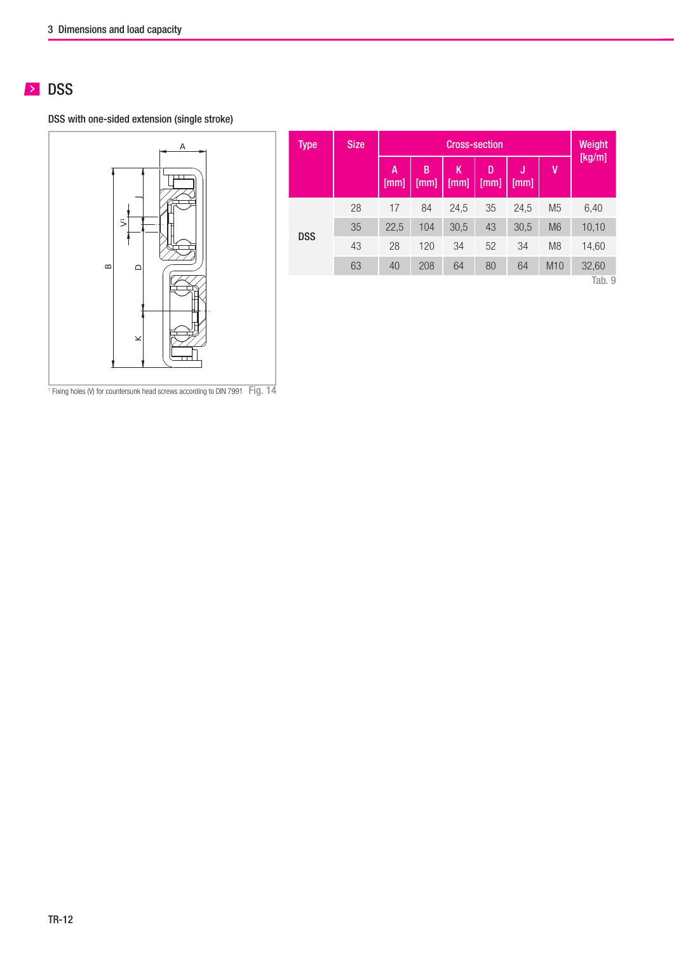# **DSS**

DSS with one-sided extension (single stroke)



| Type       | <b>Size</b> |                   | Weight    |           |           |            |                |        |
|------------|-------------|-------------------|-----------|-----------|-----------|------------|----------------|--------|
|            |             | A<br>$[{\rm mm}]$ | B<br>[mm] | K<br>[mm] | D<br>[mm] | IJ<br>[mm] | V              | [Kg/m] |
|            | 28          | 17                | 84        | 24,5      | 35        | 24,5       | M <sub>5</sub> | 6,40   |
| <b>DSS</b> | 35          | 22,5              | 104       | 30,5      | 43        | 30,5       | M <sub>6</sub> | 10,10  |
|            | 43          | 28                | 120       | 34        | 52        | 34         | M <sub>8</sub> | 14,60  |
|            | 63          | 40                | 208       | 64        | 80        | 64         | M10            | 32,60  |
|            |             |                   |           |           |           |            |                | Tab. 9 |

<sup>1</sup> Fixing holes (V) for countersunk head screws according to DIN 7991 Fig. 14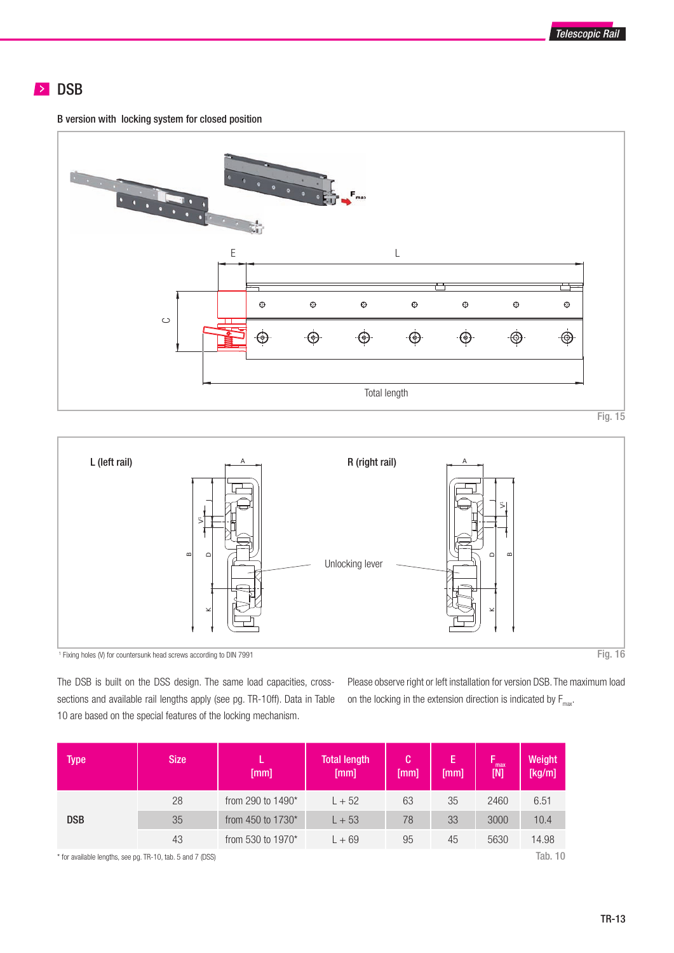

### **DSB**

B version with locking system for closed position



Fig. 15



The DSB is built on the DSS design. The same load capacities, crosssections and available rail lengths apply (see pg. TR-10ff). Data in Table 10 are based on the special features of the locking mechanism.

Please observe right or left installation for version DSB. The maximum load on the locking in the extension direction is indicated by  $F_{\text{max}}$ .

| <b>Type</b>                                                | <b>Size</b> | [mm]                 | <b>Total length</b><br>[mm] | C.<br>[mm] | E<br>[mm] | max<br>[N] | Weight<br>[kg/m] |
|------------------------------------------------------------|-------------|----------------------|-----------------------------|------------|-----------|------------|------------------|
|                                                            | 28          | from 290 to $1490^*$ | $L + 52$                    | 63         | 35        | 2460       | 6.51             |
| <b>DSB</b>                                                 | 35          | from 450 to 1730 $*$ | $L + 53$                    | 78         | 33        | 3000       | 10.4             |
|                                                            | 43          | from 530 to 1970 $*$ | $L + 69$                    | 95         | 45        | 5630       | 14.98            |
| * for available lengths, see pg. TR-10, tab. 5 and 7 (DSS) |             |                      |                             |            |           |            | <b>Tab. 10</b>   |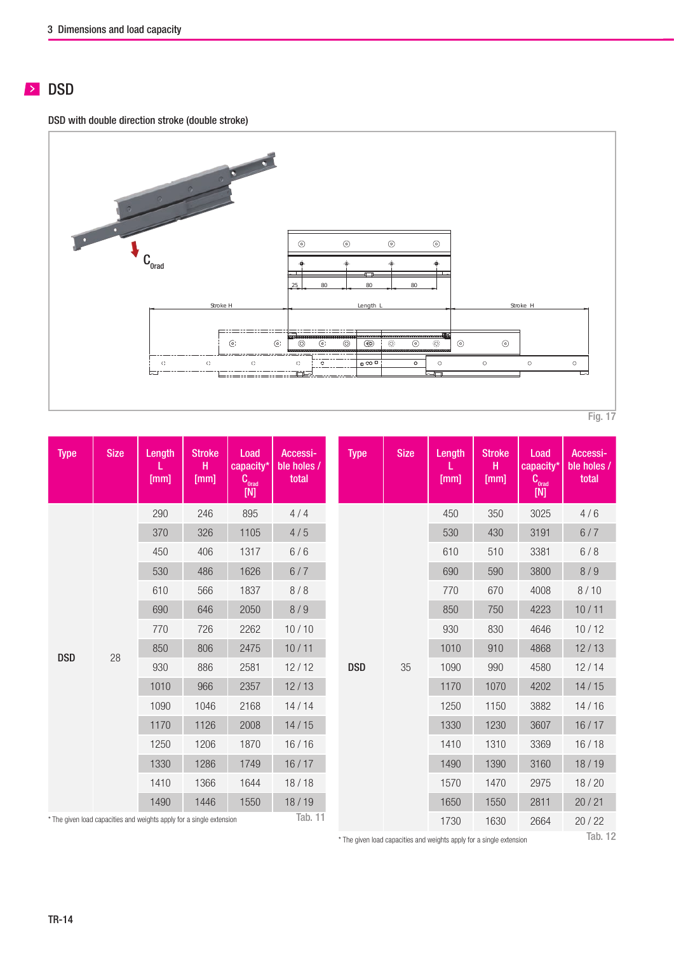# **DSD**

DSD with double direction stroke (double stroke)



| <b>Type</b>                                                          | <b>Size</b> | Length<br>[mm] | <b>Stroke</b><br>н<br>[mm] | Load<br>capacity*<br>$C_{\text{orad}}$<br>$[M]$ | Accessi-<br>ble holes /<br>total |  | <b>Type</b> | <b>Size</b> | Length<br>[mm] | <b>Stroke</b><br>H<br>[mm] | Load<br>capacity*<br>Corad<br>$[{\sf N}]$ | Accessi-<br>ble holes /<br>total |
|----------------------------------------------------------------------|-------------|----------------|----------------------------|-------------------------------------------------|----------------------------------|--|-------------|-------------|----------------|----------------------------|-------------------------------------------|----------------------------------|
|                                                                      |             | 290            | 246                        | 895                                             | 4/4                              |  |             |             | 450            | 350                        | 3025                                      | 4/6                              |
|                                                                      |             | 370            | 326                        | 1105                                            | 4/5                              |  |             |             | 530            | 430                        | 3191                                      | 6/7                              |
|                                                                      |             | 450            | 406                        | 1317                                            | 6/6                              |  |             |             | 610            | 510                        | 3381                                      | 6/8                              |
|                                                                      |             | 530            | 486                        | 1626                                            | 6/7                              |  |             |             | 690            | 590                        | 3800                                      | 8/9                              |
|                                                                      |             | 610            | 566                        | 1837                                            | 8/8                              |  | <b>DSD</b>  |             | 770            | 670                        | 4008                                      | 8/10                             |
|                                                                      |             | 690            | 646                        | 2050                                            | 8/9                              |  |             |             | 850            | 750                        | 4223                                      | 10/11                            |
|                                                                      |             | 770            | 726                        | 2262                                            | 10/10                            |  |             |             | 930            | 830                        | 4646                                      | 10/12                            |
| <b>DSD</b>                                                           | 28          | 850            | 806                        | 2475                                            | 10/11                            |  |             |             | 1010           | 910                        | 4868                                      | 12/13                            |
|                                                                      |             | 930            | 886                        | 2581                                            | 12/12                            |  |             | 35          | 1090           | 990                        | 4580                                      | 12/14                            |
|                                                                      |             | 1010           | 966                        | 2357                                            | 12/13                            |  |             |             | 1170           | 1070                       | 4202                                      | 14/15                            |
|                                                                      |             | 1090           | 1046                       | 2168                                            | 14/14                            |  |             |             | 1250           | 1150                       | 3882                                      | 14/16                            |
|                                                                      |             | 1170           | 1126                       | 2008                                            | 14/15                            |  |             |             | 1330           | 1230                       | 3607                                      | 16/17                            |
|                                                                      |             | 1250           | 1206                       | 1870                                            | 16/16                            |  |             |             | 1410           | 1310                       | 3369                                      | 16/18                            |
|                                                                      |             | 1330           | 1286                       | 1749                                            | 16/17                            |  |             |             | 1490           | 1390                       | 3160                                      | 18/19                            |
|                                                                      |             | 1410           | 1366                       | 1644                                            | 18/18                            |  |             |             | 1570           | 1470                       | 2975                                      | 18/20                            |
|                                                                      |             | 1490           | 1446                       | 1550                                            | 18/19                            |  |             |             | 1650           | 1550                       | 2811                                      | 20/21                            |
| * The given load capacities and weights apply for a single extension |             |                |                            |                                                 | Tab. 11                          |  |             |             | 1730           | 1630                       | 2664                                      | 20/22                            |

\* The given load capacities and weights apply for a single extension

Tab. 12